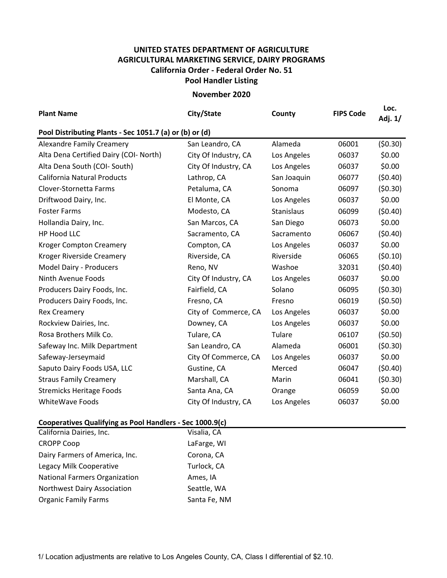## **UNITED STATES DEPARTMENT OF AGRICULTURE AGRICULTURAL MARKETING SERVICE, DAIRY PROGRAMS Pool Handler Listing California Order ‐ Federal Order No. 51**

**November 2020**

| <b>Plant Name</b>                      | City/State                                              | County      | <b>FIPS Code</b> | Loc.<br>Adj. 1/ |  |  |  |  |
|----------------------------------------|---------------------------------------------------------|-------------|------------------|-----------------|--|--|--|--|
|                                        | Pool Distributing Plants - Sec 1051.7 (a) or (b) or (d) |             |                  |                 |  |  |  |  |
| <b>Alexandre Family Creamery</b>       | San Leandro, CA                                         | Alameda     | 06001            | (50.30)         |  |  |  |  |
| Alta Dena Certified Dairy (COI- North) | City Of Industry, CA                                    | Los Angeles | 06037            | \$0.00          |  |  |  |  |
| Alta Dena South (COI-South)            | City Of Industry, CA                                    | Los Angeles | 06037            | \$0.00          |  |  |  |  |
| <b>California Natural Products</b>     | Lathrop, CA                                             | San Joaquin | 06077            | (50.40)         |  |  |  |  |
| Clover-Stornetta Farms                 | Petaluma, CA                                            | Sonoma      | 06097            | (50.30)         |  |  |  |  |
| Driftwood Dairy, Inc.                  | El Monte, CA                                            | Los Angeles | 06037            | \$0.00          |  |  |  |  |
| <b>Foster Farms</b>                    | Modesto, CA                                             | Stanislaus  | 06099            | (50.40)         |  |  |  |  |
| Hollandia Dairy, Inc.                  | San Marcos, CA                                          | San Diego   | 06073            | \$0.00          |  |  |  |  |
| HP Hood LLC                            | Sacramento, CA                                          | Sacramento  | 06067            | (50.40)         |  |  |  |  |
| <b>Kroger Compton Creamery</b>         | Compton, CA                                             | Los Angeles | 06037            | \$0.00          |  |  |  |  |
| Kroger Riverside Creamery              | Riverside, CA                                           | Riverside   | 06065            | (50.10)         |  |  |  |  |
| Model Dairy - Producers                | Reno, NV                                                | Washoe      | 32031            | (50.40)         |  |  |  |  |
| Ninth Avenue Foods                     | City Of Industry, CA                                    | Los Angeles | 06037            | \$0.00          |  |  |  |  |
| Producers Dairy Foods, Inc.            | Fairfield, CA                                           | Solano      | 06095            | (50.30)         |  |  |  |  |
| Producers Dairy Foods, Inc.            | Fresno, CA                                              | Fresno      | 06019            | (50.50)         |  |  |  |  |
| <b>Rex Creamery</b>                    | City of Commerce, CA                                    | Los Angeles | 06037            | \$0.00          |  |  |  |  |
| Rockview Dairies, Inc.                 | Downey, CA                                              | Los Angeles | 06037            | \$0.00          |  |  |  |  |
| Rosa Brothers Milk Co.                 | Tulare, CA                                              | Tulare      | 06107            | (50.50)         |  |  |  |  |
| Safeway Inc. Milk Department           | San Leandro, CA                                         | Alameda     | 06001            | (50.30)         |  |  |  |  |
| Safeway-Jerseymaid                     | City Of Commerce, CA                                    | Los Angeles | 06037            | \$0.00          |  |  |  |  |
| Saputo Dairy Foods USA, LLC            | Gustine, CA                                             | Merced      | 06047            | (50.40)         |  |  |  |  |
| <b>Straus Family Creamery</b>          | Marshall, CA                                            | Marin       | 06041            | (50.30)         |  |  |  |  |
| <b>Stremicks Heritage Foods</b>        | Santa Ana, CA                                           | Orange      | 06059            | \$0.00          |  |  |  |  |
| WhiteWave Foods                        | City Of Industry, CA                                    | Los Angeles | 06037            | \$0.00          |  |  |  |  |

## **Cooperatives Qualifying as Pool Handlers ‐ Sec 1000.9(c)**

| California Dairies, Inc.             | Visalia, CA  |
|--------------------------------------|--------------|
| <b>CROPP Coop</b>                    | LaFarge, WI  |
| Dairy Farmers of America, Inc.       | Corona, CA   |
| Legacy Milk Cooperative              | Turlock, CA  |
| <b>National Farmers Organization</b> | Ames, IA     |
| <b>Northwest Dairy Association</b>   | Seattle, WA  |
| <b>Organic Family Farms</b>          | Santa Fe, NM |